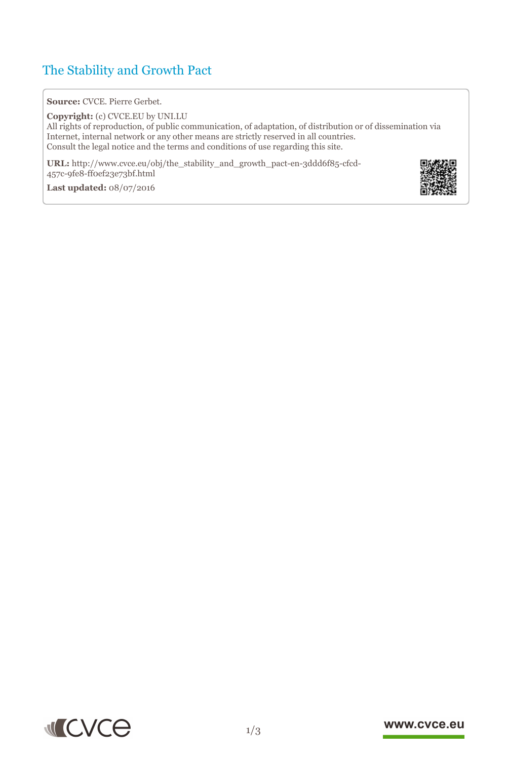# The Stability and Growth Pact

**Source:** CVCE. Pierre Gerbet.

**Copyright:** (c) CVCE.EU by UNI.LU All rights of reproduction, of public communication, of adaptation, of distribution or of dissemination via Internet, internal network or any other means are strictly reserved in all countries. Consult the legal notice and the terms and conditions of use regarding this site.

**URL:** http://www.cvce.eu/obj/the\_stability\_and\_growth\_pact-en-3ddd6f85-cfcd-457c-9fe8[-ff0ef23e73bf.html](http://www.cvce.eu/obj/the_stability_and_growth_pact-en-3ddd6f85-cfcd-457c-9fe8-ff0ef23e73bf.html)

**Las[t updated:](http://www.cvce.eu/obj/the_stability_and_growth_pact-en-3ddd6f85-cfcd-457c-9fe8-ff0ef23e73bf.html)** 08/07/2016





### www.cvce.eu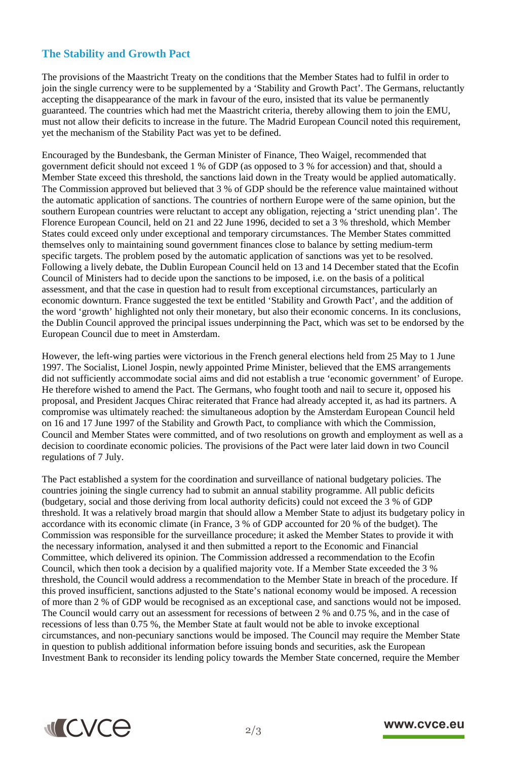## **The Stability and Growth Pact**

The provisions of the Maastricht Treaty on the conditions that the Member States had to fulfil in order to join the single currency were to be supplemented by a 'Stability and Growth Pact'. The Germans, reluctantly accepting the disappearance of the mark in favour of the euro, insisted that its value be permanently guaranteed. The countries which had met the Maastricht criteria, thereby allowing them to join the EMU, must not allow their deficits to increase in the future. The Madrid European Council noted this requirement, yet the mechanism of the Stability Pact was yet to be defined.

Encouraged by the Bundesbank, the German Minister of Finance, Theo Waigel, recommended that government deficit should not exceed 1 % of GDP (as opposed to 3 % for accession) and that, should a Member State exceed this threshold, the sanctions laid down in the Treaty would be applied automatically. The Commission approved but believed that 3 % of GDP should be the reference value maintained without the automatic application of sanctions. The countries of northern Europe were of the same opinion, but the southern European countries were reluctant to accept any obligation, rejecting a 'strict unending plan'. The Florence European Council, held on 21 and 22 June 1996, decided to set a 3 % threshold, which Member States could exceed only under exceptional and temporary circumstances. The Member States committed themselves only to maintaining sound government finances close to balance by setting medium-term specific targets. The problem posed by the automatic application of sanctions was yet to be resolved. Following a lively debate, the Dublin European Council held on 13 and 14 December stated that the Ecofin Council of Ministers had to decide upon the sanctions to be imposed, i.e. on the basis of a political assessment, and that the case in question had to result from exceptional circumstances, particularly an economic downturn. France suggested the text be entitled 'Stability and Growth Pact', and the addition of the word 'growth' highlighted not only their monetary, but also their economic concerns. In its conclusions, the Dublin Council approved the principal issues underpinning the Pact, which was set to be endorsed by the European Council due to meet in Amsterdam.

However, the left-wing parties were victorious in the French general elections held from 25 May to 1 June 1997. The Socialist, Lionel Jospin, newly appointed Prime Minister, believed that the EMS arrangements did not sufficiently accommodate social aims and did not establish a true 'economic government' of Europe. He therefore wished to amend the Pact. The Germans, who fought tooth and nail to secure it, opposed his proposal, and President Jacques Chirac reiterated that France had already accepted it, as had its partners. A compromise was ultimately reached: the simultaneous adoption by the Amsterdam European Council held on 16 and 17 June 1997 of the Stability and Growth Pact, to compliance with which the Commission, Council and Member States were committed, and of two resolutions on growth and employment as well as a decision to coordinate economic policies. The provisions of the Pact were later laid down in two Council regulations of 7 July.

The Pact established a system for the coordination and surveillance of national budgetary policies. The countries joining the single currency had to submit an annual stability programme. All public deficits (budgetary, social and those deriving from local authority deficits) could not exceed the 3 % of GDP threshold. It was a relatively broad margin that should allow a Member State to adjust its budgetary policy in accordance with its economic climate (in France, 3 % of GDP accounted for 20 % of the budget). The Commission was responsible for the surveillance procedure; it asked the Member States to provide it with the necessary information, analysed it and then submitted a report to the Economic and Financial Committee, which delivered its opinion. The Commission addressed a recommendation to the Ecofin Council, which then took a decision by a qualified majority vote. If a Member State exceeded the 3 % threshold, the Council would address a recommendation to the Member State in breach of the procedure. If this proved insufficient, sanctions adjusted to the State's national economy would be imposed. A recession of more than 2 % of GDP would be recognised as an exceptional case, and sanctions would not be imposed. The Council would carry out an assessment for recessions of between 2 % and 0.75 %, and in the case of recessions of less than 0.75 %, the Member State at fault would not be able to invoke exceptional circumstances, and non-pecuniary sanctions would be imposed. The Council may require the Member State in question to publish additional information before issuing bonds and securities, ask the European Investment Bank to reconsider its lending policy towards the Member State concerned, require the Member



### www.cvce.eu